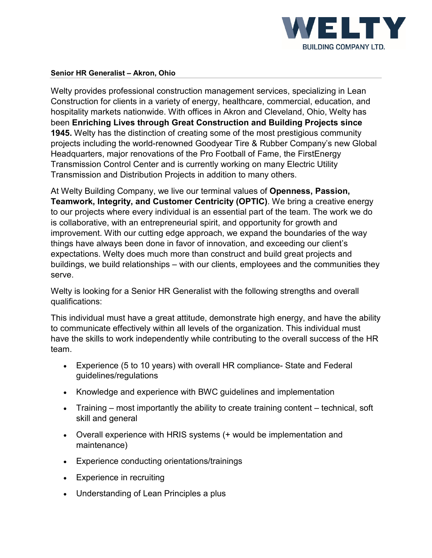

## **Senior HR Generalist – Akron, Ohio**

Welty provides professional construction management services, specializing in Lean Construction for clients in a variety of energy, healthcare, commercial, education, and hospitality markets nationwide. With offices in Akron and Cleveland, Ohio, Welty has been **Enriching Lives through Great Construction and Building Projects since 1945.** Welty has the distinction of creating some of the most prestigious community projects including the world-renowned Goodyear Tire & Rubber Company's new Global Headquarters, major renovations of the Pro Football of Fame, the FirstEnergy Transmission Control Center and is currently working on many Electric Utility Transmission and Distribution Projects in addition to many others.

At Welty Building Company, we live our terminal values of **Openness, Passion, Teamwork, Integrity, and Customer Centricity (OPTIC)**. We bring a creative energy to our projects where every individual is an essential part of the team. The work we do is collaborative, with an entrepreneurial spirit, and opportunity for growth and improvement. With our cutting edge approach, we expand the boundaries of the way things have always been done in favor of innovation, and exceeding our client's expectations. Welty does much more than construct and build great projects and buildings, we build relationships – with our clients, employees and the communities they serve.

Welty is looking for a Senior HR Generalist with the following strengths and overall qualifications:

This individual must have a great attitude, demonstrate high energy, and have the ability to communicate effectively within all levels of the organization. This individual must have the skills to work independently while contributing to the overall success of the HR team.

- Experience (5 to 10 years) with overall HR compliance- State and Federal guidelines/regulations
- Knowledge and experience with BWC guidelines and implementation
- Training most importantly the ability to create training content technical, soft skill and general
- Overall experience with HRIS systems (+ would be implementation and maintenance)
- Experience conducting orientations/trainings
- Experience in recruiting
- Understanding of Lean Principles a plus